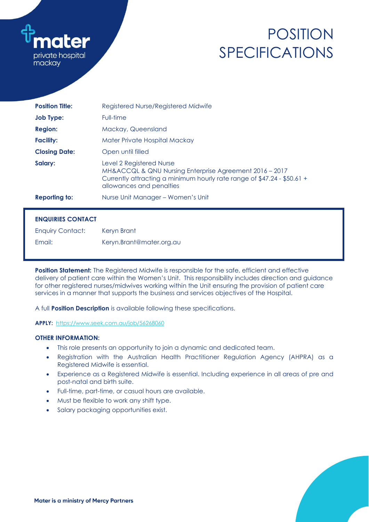

# POSITION SPECIFICATIONS

| <b>Position Title:</b> | Registered Nurse/Registered Midwife                                                                                                                                                        |  |  |  |
|------------------------|--------------------------------------------------------------------------------------------------------------------------------------------------------------------------------------------|--|--|--|
| <b>Job Type:</b>       | Full-time                                                                                                                                                                                  |  |  |  |
| <b>Region:</b>         | Mackay, Queensland                                                                                                                                                                         |  |  |  |
| <b>Facility:</b>       | Mater Private Hospital Mackay                                                                                                                                                              |  |  |  |
| <b>Closing Date:</b>   | Open until filled                                                                                                                                                                          |  |  |  |
| Salary:                | Level 2 Registered Nurse<br>MH&ACCQL & QNU Nursing Enterprise Agreement 2016 - 2017<br>Currently attracting a minimum hourly rate range of \$47.24 - \$50.61 +<br>allowances and penalties |  |  |  |
| <b>Reporting to:</b>   | Nurse Unit Manager – Women's Unit                                                                                                                                                          |  |  |  |

# **ENQUIRIES CONTACT**

| <b>Enquiry Contact:</b> | Keryn Brant              |
|-------------------------|--------------------------|
| Email:                  | Keryn.Brant@mater.org.au |

**Position Statement:** The Registered Midwife is responsible for the safe, efficient and effective delivery of patient care within the Women's Unit. This responsibility includes direction and guidance for other registered nurses/midwives working within the Unit ensuring the provision of patient care services in a manner that supports the business and services objectives of the Hospital.

A full **Position Description** is available following these specifications.

**APPLY:**<https://www.seek.com.au/job/56268060>

# **OTHER INFORMATION:**

- This role presents an opportunity to join a dynamic and dedicated team.
- Registration with the Australian Health Practitioner Regulation Agency (AHPRA) as a Registered Midwife is essential.
- Experience as a Registered Midwife is essential. Including experience in all areas of pre and post-natal and birth suite.
- Full-time, part-time, or casual hours are available.
- Must be flexible to work any shift type.
- Salary packaging opportunities exist.

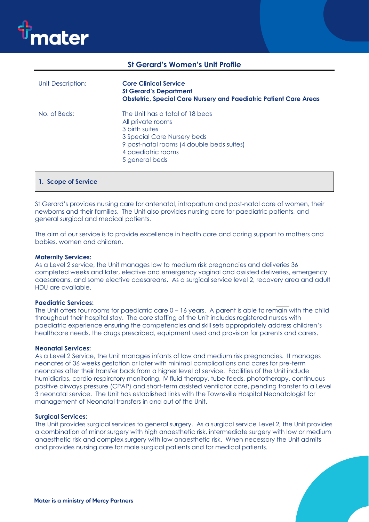

# **St Gerard's Women's Unit Profile**

| Unit Description: | <b>Core Clinical Service</b><br><b>St Gerard's Department</b><br><b>Obstetric, Special Care Nursery and Paediatric Patient Care Areas</b>                                                  |
|-------------------|--------------------------------------------------------------------------------------------------------------------------------------------------------------------------------------------|
| No. of Beds:      | The Unit has a total of 18 beds<br>All private rooms<br>3 birth suites<br>3 Special Care Nursery beds<br>9 post-natal rooms (4 double beds suites)<br>4 paediatric rooms<br>5 general beds |

# **1. Scope of Service**

St Gerard's provides nursing care for antenatal, intrapartum and post-natal care of women, their newborns and their families. The Unit also provides nursing care for paediatric patients, and general surgical and medical patients.

The aim of our service is to provide excellence in health care and caring support to mothers and babies, women and children.

### **Maternity Services:**

As a Level 2 service, the Unit manages low to medium risk pregnancies and deliveries 36 completed weeks and later, elective and emergency vaginal and assisted deliveries, emergency caesareans, and some elective caesareans. As a surgical service level 2, recovery area and adult HDU are available.

### **Paediatric Services:**

The Unit offers four rooms for paediatric care 0 – 16 years. A parent is able to remain with the child throughout their hospital stay. The core staffing of the Unit includes registered nurses with paediatric experience ensuring the competencies and skill sets appropriately address children's healthcare needs, the drugs prescribed, equipment used and provision for parents and carers.

### **Neonatal Services:**

As a Level 2 Service, the Unit manages infants of low and medium risk pregnancies. It manages neonates of 36 weeks gestation or later with minimal complications and cares for pre-term neonates after their transfer back from a higher level of service. Facilities of the Unit include humidicribs, cardio-respiratory monitoring, IV fluid therapy, tube feeds, phototherapy, continuous positive airways pressure (CPAP) and short-term assisted ventilator care, pending transfer to a Level 3 neonatal service. The Unit has established links with the Townsville Hospital Neonatologist for management of Neonatal transfers in and out of the Unit.

### **Surgical Services:**

The Unit provides surgical services to general surgery. As a surgical service Level 2, the Unit provides a combination of minor surgery with high anaesthetic risk, intermediate surgery with low or medium anaesthetic risk and complex surgery with low anaesthetic risk. When necessary the Unit admits and provides nursing care for male surgical patients and for medical patients.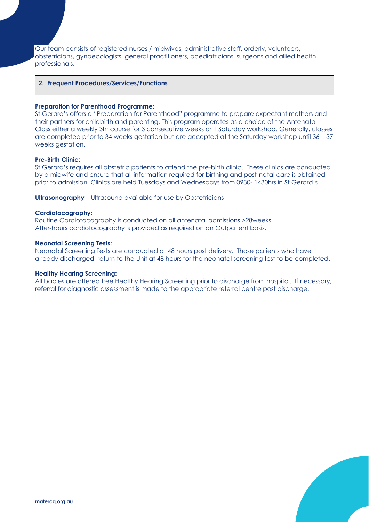Our team consists of registered nurses / midwives, administrative staff, orderly, volunteers, obstetricians, gynaecologists, general practitioners, paediatricians, surgeons and allied health professionals.

# **2. Frequent Procedures/Services/Functions**

### **Preparation for Parenthood Programme:**

St Gerard's offers a "Preparation for Parenthood" programme to prepare expectant mothers and their partners for childbirth and parenting. This program operates as a choice of the Antenatal Class either a weekly 3hr course for 3 consecutive weeks or 1 Saturday workshop. Generally, classes are completed prior to 34 weeks gestation but are accepted at the Saturday workshop until 36 – 37 weeks aestation.

# **Pre-Birth Clinic:**

St Gerard's requires all obstetric patients to attend the pre-birth clinic. These clinics are conducted by a midwife and ensure that all information required for birthing and post-natal care is obtained prior to admission. Clinics are held Tuesdays and Wednesdays from 0930- 1430hrs in St Gerard's

**Ultrasonography** – Ultrasound available for use by Obstetricians

### **Cardiotocography:**

Routine Cardiotocography is conducted on all antenatal admissions >28weeks. After-hours cardiotocography is provided as required on an Outpatient basis.

### **Neonatal Screening Tests:**

Neonatal Screening Tests are conducted at 48 hours post delivery. Those patients who have already discharged, return to the Unit at 48 hours for the neonatal screening test to be completed.

### **Healthy Hearing Screening:**

All babies are offered free Healthy Hearing Screening prior to discharge from hospital. If necessary, referral for diagnostic assessment is made to the appropriate referral centre post discharge.

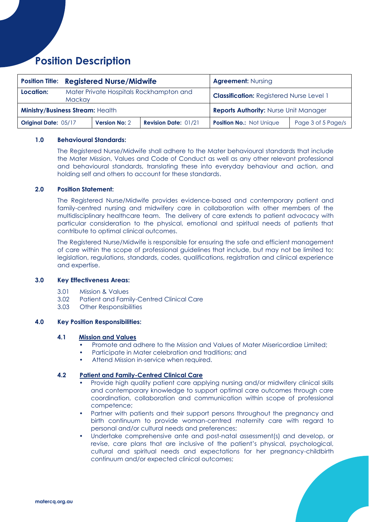# **Position Description**

|                                         | <b>Position Title: Registered Nurse/Midwife</b>   |                      |                                              | <b>Agreement: Nursing</b>                       |                    |
|-----------------------------------------|---------------------------------------------------|----------------------|----------------------------------------------|-------------------------------------------------|--------------------|
| Location:                               | Mater Private Hospitals Rockhampton and<br>Mackay |                      |                                              | <b>Classification: Registered Nurse Level 1</b> |                    |
| <b>Ministry/Business Stream: Health</b> |                                                   |                      | <b>Reports Authority: Nurse Unit Manager</b> |                                                 |                    |
| <b>Original Date: 05/17</b>             |                                                   | <b>Version No: 2</b> | <b>Revision Date: 01/21</b>                  | <b>Position No.: Not Unique</b>                 | Page 3 of 5 Page/s |

# **1.0 Behavioural Standards:**

The Registered Nurse/Midwife shall adhere to the Mater behavioural standards that include the Mater Mission, Values and Code of Conduct as well as any other relevant professional and behavioural standards, translating these into everyday behaviour and action, and holding self and others to account for these standards.

# **2.0 Position Statement:**

The Registered Nurse/Midwife provides evidence-based and contemporary patient and family-centred nursing and midwifery care in collaboration with other members of the multidisciplinary healthcare team. The delivery of care extends to patient advocacy with particular consideration to the physical, emotional and spiritual needs of patients that contribute to optimal clinical outcomes.

The Registered Nurse/Midwife is responsible for ensuring the safe and efficient management of care within the scope of professional guidelines that include, but may not be limited to: legislation, regulations, standards, codes, qualifications, registration and clinical experience and expertise.

# **3.0 Key Effectiveness Areas:**

- 3.01 Mission & Values
- 3.02 Patient and Family-Centred Clinical Care
- 3.03 Other Responsibilities

# **4.0 Key Position Responsibilities:**

# **4.1 Mission and Values**

- Promote and adhere to the Mission and Values of Mater Misericordiae Limited;
- Participate in Mater celebration and traditions; and
- Attend Mission in-service when required.

# **4.2 Patient and Family-Centred Clinical Care**

- Provide high quality patient care applying nursing and/or midwifery clinical skills and contemporary knowledge to support optimal care outcomes through care coordination, collaboration and communication within scope of professional competence;
- Partner with patients and their support persons throughout the pregnancy and birth continuum to provide woman-centred maternity care with regard to personal and/or cultural needs and preferences;
- Undertake comprehensive ante and post-natal assessment(s) and develop, or revise, care plans that are inclusive of the patient's physical, psychological, cultural and spiritual needs and expectations for her pregnancy-childbirth continuum and/or expected clinical outcomes;